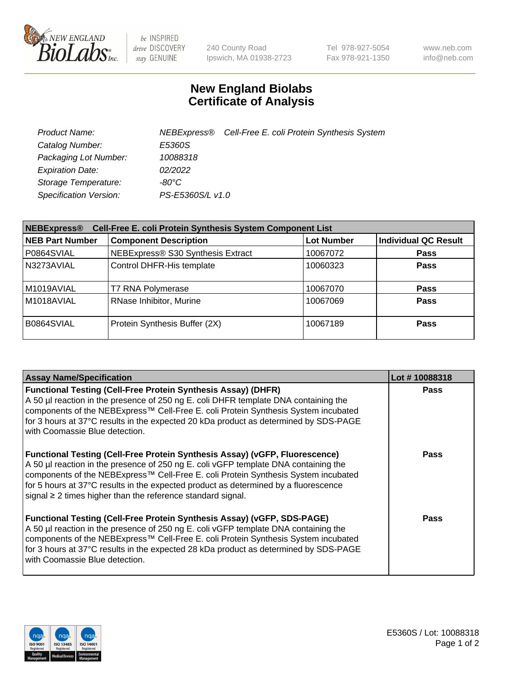

 $be$  INSPIRED drive DISCOVERY stay GENUINE

240 County Road Ipswich, MA 01938-2723 Tel 978-927-5054 Fax 978-921-1350 www.neb.com info@neb.com

## **New England Biolabs Certificate of Analysis**

| Product Name:           |                  | NEBExpress® Cell-Free E. coli Protein Synthesis System |
|-------------------------|------------------|--------------------------------------------------------|
| Catalog Number:         | E5360S           |                                                        |
| Packaging Lot Number:   | 10088318         |                                                        |
| <b>Expiration Date:</b> | 02/2022          |                                                        |
| Storage Temperature:    | $-80^{\circ}$ C  |                                                        |
| Specification Version:  | PS-E5360S/L v1.0 |                                                        |

| Cell-Free E. coli Protein Synthesis System Component List<br><b>NEBExpress®</b> |                                   |                   |                             |  |
|---------------------------------------------------------------------------------|-----------------------------------|-------------------|-----------------------------|--|
| <b>NEB Part Number</b>                                                          | <b>Component Description</b>      | <b>Lot Number</b> | <b>Individual QC Result</b> |  |
| P0864SVIAL                                                                      | NEBExpress® S30 Synthesis Extract | 10067072          | <b>Pass</b>                 |  |
| N3273AVIAL                                                                      | Control DHFR-His template         | 10060323          | <b>Pass</b>                 |  |
| M1019AVIAL                                                                      | T7 RNA Polymerase                 | 10067070          | <b>Pass</b>                 |  |
| M1018AVIAL                                                                      | RNase Inhibitor, Murine           | 10067069          | <b>Pass</b>                 |  |
| B0864SVIAL                                                                      | Protein Synthesis Buffer (2X)     | 10067189          | <b>Pass</b>                 |  |

| <b>Assay Name/Specification</b>                                                                                                                                                                                                                                                                                                                                                                                            | Lot #10088318 |
|----------------------------------------------------------------------------------------------------------------------------------------------------------------------------------------------------------------------------------------------------------------------------------------------------------------------------------------------------------------------------------------------------------------------------|---------------|
| <b>Functional Testing (Cell-Free Protein Synthesis Assay) (DHFR)</b><br>A 50 µl reaction in the presence of 250 ng E. coli DHFR template DNA containing the<br>components of the NEBExpress™ Cell-Free E. coli Protein Synthesis System incubated<br>for 3 hours at 37°C results in the expected 20 kDa product as determined by SDS-PAGE<br>with Coomassie Blue detection.                                                | <b>Pass</b>   |
| <b>Functional Testing (Cell-Free Protein Synthesis Assay) (vGFP, Fluorescence)</b><br>A 50 µl reaction in the presence of 250 ng E. coli vGFP template DNA containing the<br>components of the NEBExpress™ Cell-Free E. coli Protein Synthesis System incubated<br>for 5 hours at 37°C results in the expected product as determined by a fluorescence<br>signal $\geq$ 2 times higher than the reference standard signal. | <b>Pass</b>   |
| <b>Functional Testing (Cell-Free Protein Synthesis Assay) (vGFP, SDS-PAGE)</b><br>A 50 µl reaction in the presence of 250 ng E. coli vGFP template DNA containing the<br>components of the NEBExpress™ Cell-Free E. coli Protein Synthesis System incubated<br>for 3 hours at 37°C results in the expected 28 kDa product as determined by SDS-PAGE<br>with Coomassie Blue detection.                                      | Pass          |